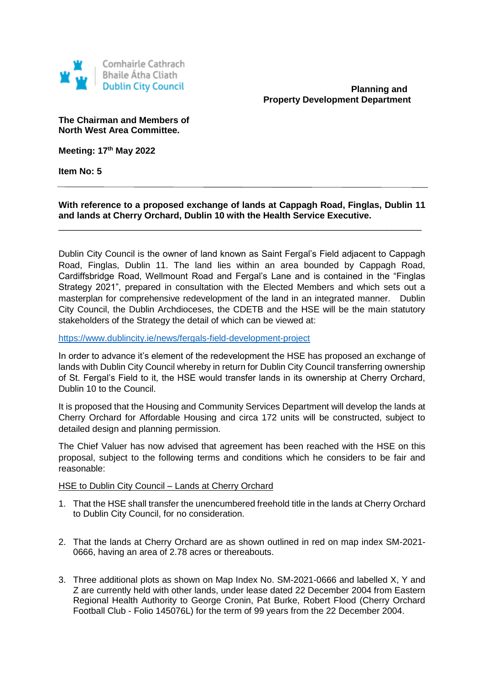

**Planning and Property Development Department**

**The Chairman and Members of North West Area Committee.**

**Meeting: 17th May 2022**

**Item No: 5**

**With reference to a proposed exchange of lands at Cappagh Road, Finglas, Dublin 11 and lands at Cherry Orchard, Dublin 10 with the Health Service Executive.**

\_\_\_\_\_\_\_\_\_\_\_\_\_\_\_\_\_\_\_\_\_\_\_\_\_\_\_\_\_\_\_\_\_\_\_\_\_\_\_\_\_\_\_\_\_\_\_\_\_\_\_\_\_\_\_\_\_\_\_\_\_\_\_\_\_\_\_\_\_\_\_\_\_

 $\overline{a}$ 

Dublin City Council is the owner of land known as Saint Fergal's Field adjacent to Cappagh Road, Finglas, Dublin 11. The land lies within an area bounded by Cappagh Road, Cardiffsbridge Road, Wellmount Road and Fergal's Lane and is contained in the "Finglas Strategy 2021", prepared in consultation with the Elected Members and which sets out a masterplan for comprehensive redevelopment of the land in an integrated manner. Dublin City Council, the Dublin Archdioceses, the CDETB and the HSE will be the main statutory stakeholders of the Strategy the detail of which can be viewed at:

<https://www.dublincity.ie/news/fergals-field-development-project>

In order to advance it's element of the redevelopment the HSE has proposed an exchange of lands with Dublin City Council whereby in return for Dublin City Council transferring ownership of St. Fergal's Field to it, the HSE would transfer lands in its ownership at Cherry Orchard, Dublin 10 to the Council.

It is proposed that the Housing and Community Services Department will develop the lands at Cherry Orchard for Affordable Housing and circa 172 units will be constructed, subject to detailed design and planning permission.

The Chief Valuer has now advised that agreement has been reached with the HSE on this proposal, subject to the following terms and conditions which he considers to be fair and reasonable:

HSE to Dublin City Council – Lands at Cherry Orchard

- 1. That the HSE shall transfer the unencumbered freehold title in the lands at Cherry Orchard to Dublin City Council, for no consideration.
- 2. That the lands at Cherry Orchard are as shown outlined in red on map index SM-2021- 0666, having an area of 2.78 acres or thereabouts.
- 3. Three additional plots as shown on Map Index No. SM-2021-0666 and labelled X, Y and Z are currently held with other lands, under lease dated 22 December 2004 from Eastern Regional Health Authority to George Cronin, Pat Burke, Robert Flood (Cherry Orchard Football Club - Folio 145076L) for the term of 99 years from the 22 December 2004.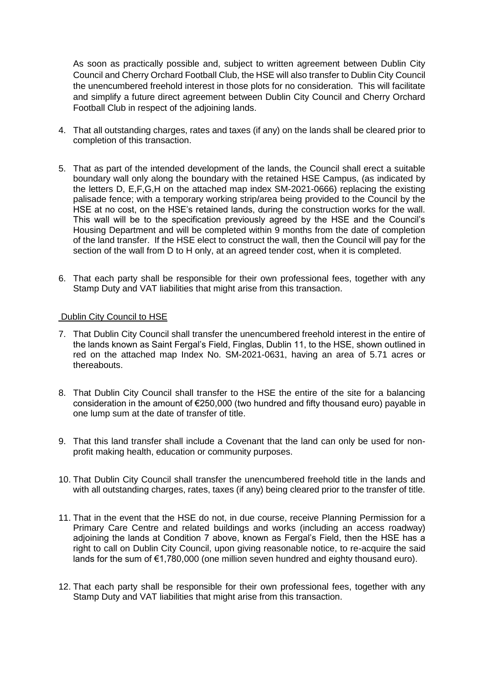As soon as practically possible and, subject to written agreement between Dublin City Council and Cherry Orchard Football Club, the HSE will also transfer to Dublin City Council the unencumbered freehold interest in those plots for no consideration. This will facilitate and simplify a future direct agreement between Dublin City Council and Cherry Orchard Football Club in respect of the adjoining lands.

- 4. That all outstanding charges, rates and taxes (if any) on the lands shall be cleared prior to completion of this transaction.
- 5. That as part of the intended development of the lands, the Council shall erect a suitable boundary wall only along the boundary with the retained HSE Campus, (as indicated by the letters D, E,F,G,H on the attached map index SM-2021-0666) replacing the existing palisade fence; with a temporary working strip/area being provided to the Council by the HSE at no cost, on the HSE's retained lands, during the construction works for the wall. This wall will be to the specification previously agreed by the HSE and the Council's Housing Department and will be completed within 9 months from the date of completion of the land transfer. If the HSE elect to construct the wall, then the Council will pay for the section of the wall from D to H only, at an agreed tender cost, when it is completed.
- 6. That each party shall be responsible for their own professional fees, together with any Stamp Duty and VAT liabilities that might arise from this transaction.

## Dublin City Council to HSE

- 7. That Dublin City Council shall transfer the unencumbered freehold interest in the entire of the lands known as Saint Fergal's Field, Finglas, Dublin 11, to the HSE, shown outlined in red on the attached map Index No. SM-2021-0631, having an area of 5.71 acres or thereabouts.
- 8. That Dublin City Council shall transfer to the HSE the entire of the site for a balancing consideration in the amount of €250,000 (two hundred and fifty thousand euro) payable in one lump sum at the date of transfer of title.
- 9. That this land transfer shall include a Covenant that the land can only be used for nonprofit making health, education or community purposes.
- 10. That Dublin City Council shall transfer the unencumbered freehold title in the lands and with all outstanding charges, rates, taxes (if any) being cleared prior to the transfer of title.
- 11. That in the event that the HSE do not, in due course, receive Planning Permission for a Primary Care Centre and related buildings and works (including an access roadway) adjoining the lands at Condition 7 above, known as Fergal's Field, then the HSE has a right to call on Dublin City Council, upon giving reasonable notice, to re-acquire the said lands for the sum of €1,780,000 (one million seven hundred and eighty thousand euro).
- 12. That each party shall be responsible for their own professional fees, together with any Stamp Duty and VAT liabilities that might arise from this transaction.